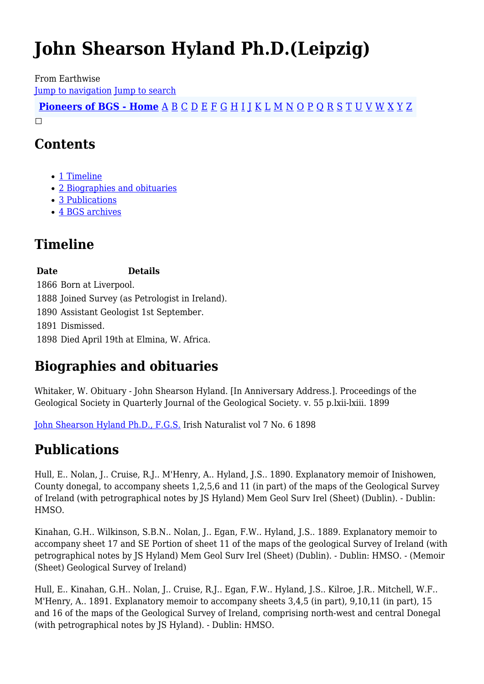# **John Shearson Hyland Ph.D.(Leipzig)**

From Earthwise

[Jump to navigation](#page--1-0) [Jump to search](#page--1-0)

**[Pioneers of BGS - Home](http://earthwise.bgs.ac.uk/index.php/Pioneers_of_the_British_Geological_Survey)** [A](http://earthwise.bgs.ac.uk/index.php/Pioneers_of_the_British_Geological_Survey#A) [B](http://earthwise.bgs.ac.uk/index.php/Pioneers_of_the_British_Geological_Survey#B) [C](http://earthwise.bgs.ac.uk/index.php/Pioneers_of_the_British_Geological_Survey#C) [D](http://earthwise.bgs.ac.uk/index.php/Pioneers_of_the_British_Geological_Survey#D) [E](http://earthwise.bgs.ac.uk/index.php/Pioneers_of_the_British_Geological_Survey#E) [F](http://earthwise.bgs.ac.uk/index.php/Pioneers_of_the_British_Geological_Survey#F) [G](http://earthwise.bgs.ac.uk/index.php/Pioneers_of_the_British_Geological_Survey#G) [H](http://earthwise.bgs.ac.uk/index.php/Pioneers_of_the_British_Geological_Survey#H) [I](http://earthwise.bgs.ac.uk/index.php/Pioneers_of_the_British_Geological_Survey#I) [J](http://earthwise.bgs.ac.uk/index.php/Pioneers_of_the_British_Geological_Survey#J) [K](http://earthwise.bgs.ac.uk/index.php/Pioneers_of_the_British_Geological_Survey#K) [L](http://earthwise.bgs.ac.uk/index.php/Pioneers_of_the_British_Geological_Survey#L) [M](http://earthwise.bgs.ac.uk/index.php/Pioneers_of_the_British_Geological_Survey#M) [N](http://earthwise.bgs.ac.uk/index.php/Pioneers_of_the_British_Geological_Survey#N) [O](http://earthwise.bgs.ac.uk/index.php/Pioneers_of_the_British_Geological_Survey#O) [P](http://earthwise.bgs.ac.uk/index.php/Pioneers_of_the_British_Geological_Survey#P) [Q](http://earthwise.bgs.ac.uk/index.php/Pioneers_of_the_British_Geological_Survey#Q) [R](http://earthwise.bgs.ac.uk/index.php/Pioneers_of_the_British_Geological_Survey#R) [S](http://earthwise.bgs.ac.uk/index.php/Pioneers_of_the_British_Geological_Survey#S) [T](http://earthwise.bgs.ac.uk/index.php/Pioneers_of_the_British_Geological_Survey#T) [U](http://earthwise.bgs.ac.uk/index.php/Pioneers_of_the_British_Geological_Survey#U) [V](http://earthwise.bgs.ac.uk/index.php/Pioneers_of_the_British_Geological_Survey#V) [W](http://earthwise.bgs.ac.uk/index.php/Pioneers_of_the_British_Geological_Survey#W) [X](http://earthwise.bgs.ac.uk/index.php/Pioneers_of_the_British_Geological_Survey#X) [Y](http://earthwise.bgs.ac.uk/index.php/Pioneers_of_the_British_Geological_Survey#Y) [Z](http://earthwise.bgs.ac.uk/index.php/Pioneers_of_the_British_Geological_Survey#Z)  $\Box$ 

### **Contents**

- [1](#page--1-0) [Timeline](#page--1-0)
- [2](#page--1-0) [Biographies and obituaries](#page--1-0)
- [3](#page--1-0) [Publications](#page--1-0)
- [4](#page--1-0) [BGS archives](#page--1-0)

# **Timeline**

**Date Details**

1866 Born at Liverpool.

1888 Joined Survey (as Petrologist in Ireland).

1890 Assistant Geologist 1st September.

1891 Dismissed.

1898 Died April 19th at Elmina, W. Africa.

# **Biographies and obituaries**

Whitaker, W. Obituary - John Shearson Hyland. [In Anniversary Address.]. Proceedings of the Geological Society in Quarterly Journal of the Geological Society. v. 55 p.lxii-lxiii. 1899

[John Shearson Hyland Ph.D., F.G.S.](https://vdocuments.mx/john-shearson-hyland-phd-fgs.html) Irish Naturalist vol 7 No. 6 1898

# **Publications**

Hull, E.. Nolan, J.. Cruise, R.J.. M'Henry, A.. Hyland, J.S.. 1890. Explanatory memoir of Inishowen, County donegal, to accompany sheets 1,2,5,6 and 11 (in part) of the maps of the Geological Survey of Ireland (with petrographical notes by JS Hyland) Mem Geol Surv Irel (Sheet) (Dublin). - Dublin: HMSO.

Kinahan, G.H.. Wilkinson, S.B.N.. Nolan, J.. Egan, F.W.. Hyland, J.S.. 1889. Explanatory memoir to accompany sheet 17 and SE Portion of sheet 11 of the maps of the geological Survey of Ireland (with petrographical notes by JS Hyland) Mem Geol Surv Irel (Sheet) (Dublin). - Dublin: HMSO. - (Memoir (Sheet) Geological Survey of Ireland)

Hull, E.. Kinahan, G.H.. Nolan, J.. Cruise, R.J.. Egan, F.W.. Hyland, J.S.. Kilroe, J.R.. Mitchell, W.F.. M'Henry, A.. 1891. Explanatory memoir to accompany sheets 3,4,5 (in part), 9,10,11 (in part), 15 and 16 of the maps of the Geological Survey of Ireland, comprising north-west and central Donegal (with petrographical notes by JS Hyland). - Dublin: HMSO.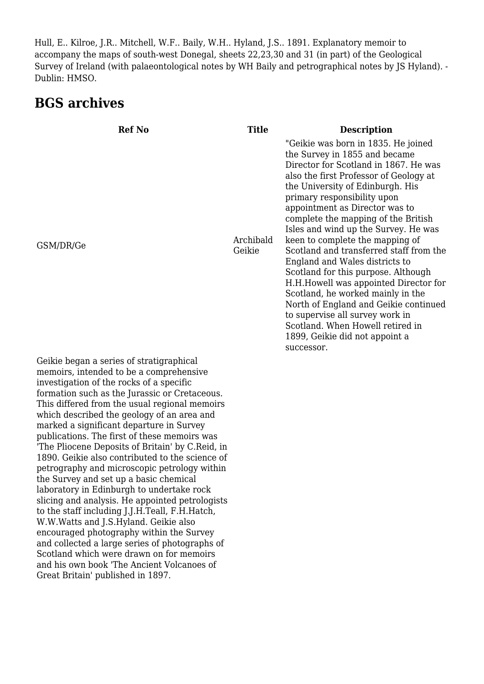Hull, E.. Kilroe, J.R.. Mitchell, W.F.. Baily, W.H.. Hyland, J.S.. 1891. Explanatory memoir to accompany the maps of south-west Donegal, sheets 22,23,30 and 31 (in part) of the Geological Survey of Ireland (with palaeontological notes by WH Baily and petrographical notes by JS Hyland). - Dublin: HMSO.

### **BGS archives**

| <b>Ref No</b>                                                                                                                                                                   | <b>Title</b>        | <b>Description</b>                                                                                                                                                                                                                                                                                                                                                                                                                                                                                                                                                                                                                                                                                                                                |
|---------------------------------------------------------------------------------------------------------------------------------------------------------------------------------|---------------------|---------------------------------------------------------------------------------------------------------------------------------------------------------------------------------------------------------------------------------------------------------------------------------------------------------------------------------------------------------------------------------------------------------------------------------------------------------------------------------------------------------------------------------------------------------------------------------------------------------------------------------------------------------------------------------------------------------------------------------------------------|
| GSM/DR/Ge                                                                                                                                                                       | Archibald<br>Geikie | "Geikie was born in 1835. He joined<br>the Survey in 1855 and became<br>Director for Scotland in 1867. He was<br>also the first Professor of Geology at<br>the University of Edinburgh. His<br>primary responsibility upon<br>appointment as Director was to<br>complete the mapping of the British<br>Isles and wind up the Survey. He was<br>keen to complete the mapping of<br>Scotland and transferred staff from the<br>England and Wales districts to<br>Scotland for this purpose. Although<br>H.H. Howell was appointed Director for<br>Scotland, he worked mainly in the<br>North of England and Geikie continued<br>to supervise all survey work in<br>Scotland. When Howell retired in<br>1899, Geikie did not appoint a<br>successor. |
| Geikie began a series of stratigraphical<br>memoirs, intended to be a comprehensive<br>investigation of the rocks of a specific<br>formation such as the Iurassic or Cretaceous |                     |                                                                                                                                                                                                                                                                                                                                                                                                                                                                                                                                                                                                                                                                                                                                                   |

investigation of the rocks of a specific formation such as the Jurassic or Cretaceous. This differed from the usual regional memoirs which described the geology of an area and marked a significant departure in Survey publications. The first of these memoirs was 'The Pliocene Deposits of Britain' by C.Reid, in 1890. Geikie also contributed to the science of petrography and microscopic petrology within the Survey and set up a basic chemical laboratory in Edinburgh to undertake rock slicing and analysis. He appointed petrologists to the staff including J.J.H.Teall, F.H.Hatch, W.W.Watts and J.S.Hyland. Geikie also encouraged photography within the Survey and collected a large series of photographs of Scotland which were drawn on for memoirs and his own book 'The Ancient Volcanoes of Great Britain' published in 1897.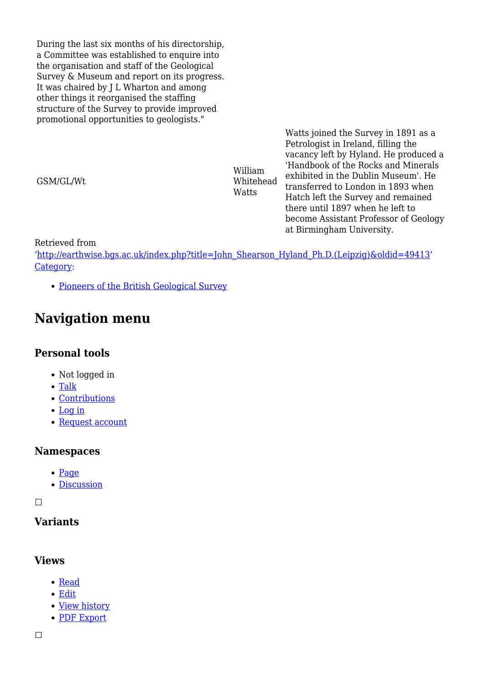During the last six months of his directorship, a Committee was established to enquire into the organisation and staff of the Geological Survey & Museum and report on its progress. It was chaired by J L Wharton and among other things it reorganised the staffing structure of the Survey to provide improved promotional opportunities to geologists."

GSM/GL/Wt

William Whitehead **Watts** 

Watts joined the Survey in 1891 as a Petrologist in Ireland, filling the vacancy left by Hyland. He produced a 'Handbook of the Rocks and Minerals exhibited in the Dublin Museum'. He transferred to London in 1893 when Hatch left the Survey and remained there until 1897 when he left to become Assistant Professor of Geology at Birmingham University.

Retrieved from

'[http://earthwise.bgs.ac.uk/index.php?title=John\\_Shearson\\_Hyland\\_Ph.D.\(Leipzig\)&oldid=49413](http://earthwise.bgs.ac.uk/index.php?title=John_Shearson_Hyland_Ph.D.(Leipzig)&oldid=49413)' [Category](http://earthwise.bgs.ac.uk/index.php/Special:Categories):

• [Pioneers of the British Geological Survey](http://earthwise.bgs.ac.uk/index.php/Category:Pioneers_of_the_British_Geological_Survey)

### **Navigation menu**

#### **Personal tools**

- Not logged in
- [Talk](http://earthwise.bgs.ac.uk/index.php/Special:MyTalk)
- [Contributions](http://earthwise.bgs.ac.uk/index.php/Special:MyContributions)
- [Log in](http://earthwise.bgs.ac.uk/index.php?title=Special:UserLogin&returnto=John+Shearson+Hyland+Ph.D.%28Leipzig%29&returntoquery=action%3Dmpdf)
- [Request account](http://earthwise.bgs.ac.uk/index.php/Special:RequestAccount)

#### **Namespaces**

- [Page](http://earthwise.bgs.ac.uk/index.php/John_Shearson_Hyland_Ph.D.(Leipzig))
- [Discussion](http://earthwise.bgs.ac.uk/index.php?title=Talk:John_Shearson_Hyland_Ph.D.(Leipzig)&action=edit&redlink=1)

 $\Box$ 

#### **Variants**

#### **Views**

- [Read](http://earthwise.bgs.ac.uk/index.php/John_Shearson_Hyland_Ph.D.(Leipzig))
- [Edit](http://earthwise.bgs.ac.uk/index.php?title=John_Shearson_Hyland_Ph.D.(Leipzig)&action=edit)
- [View history](http://earthwise.bgs.ac.uk/index.php?title=John_Shearson_Hyland_Ph.D.(Leipzig)&action=history)
- [PDF Export](http://earthwise.bgs.ac.uk/index.php?title=John_Shearson_Hyland_Ph.D.(Leipzig)&action=mpdf)